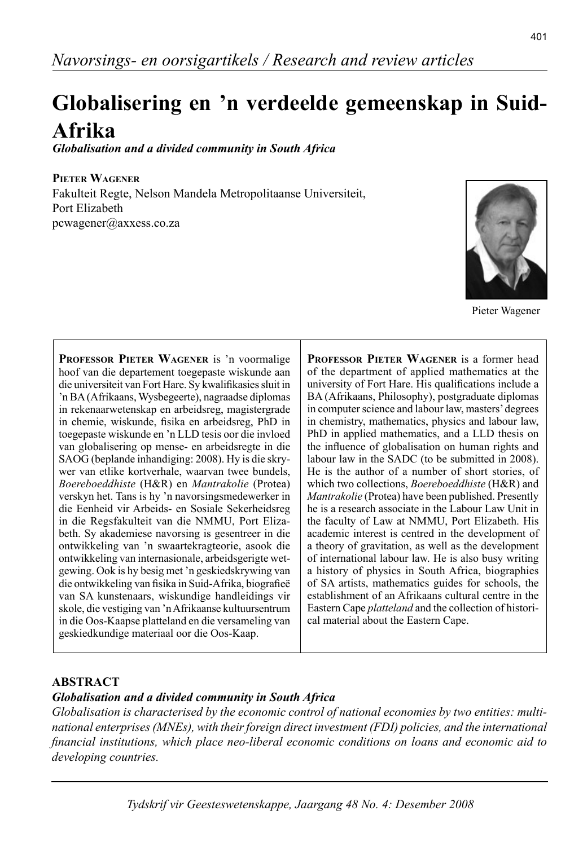# **Globalisering en 'n verdeelde gemeenskap in Suid-Afrika**

*Globalisation and a divided community in South Africa*

**PIETER WAGENER** Fakulteit Regte, Nelson Mandela Metropolitaanse Universiteit, Port Elizabeth pcwagener@axxess.co.za

**PROFESSOR PIETER WAGENER** is 'n voormalige hoof van die departement toegepaste wiskunde aan die universiteit van Fort Hare. Sy kwalifikasies sluit in 'n BA (Afrikaans, Wysbegeerte), nagraadse diplomas in rekenaarwetenskap en arbeidsreg, magistergrade in chemie, wiskunde, fisika en arbeidsreg, PhD in toegepaste wiskunde en 'n LLD tesis oor die invloed van globalisering op mense- en arbeidsregte in die SAOG (beplande inhandiging: 2008). Hy is die skrywer van etlike kortverhale, waarvan twee bundels, *Boereboeddhiste* (H&R) en *Mantrakolie* (Protea) verskyn het. Tans is hy 'n navorsingsmedewerker in die Eenheid vir Arbeids- en Sosiale Sekerheidsreg in die Regsfakulteit van die NMMU, Port Elizabeth. Sy akademiese navorsing is gesentreer in die ontwikkeling van 'n swaarte kragteorie, asook die ontwikkeling van internasionale, arbeidsgerigte wetgewing. Ook is hy besig met 'n geskiedskrywing van die ontwikkeling van fisika in Suid-Afrika, biografieë van SA kunstenaars, wiskundige handleidings vir skole, die vestiging van 'n Afrikaanse kultuursentrum in die Oos-Kaapse platteland en die versameling van geskiedkundige materiaal oor die Oos-Kaap.

**PROFESSOR PIETER WAGENER** is a former head of the department of applied mathematics at the university of Fort Hare. His qualifications include a BA (Afrikaans, Philosophy), postgraduate diplomas in computer science and labour law, masters' degrees in chemistry, mathematics, physics and labour law, PhD in applied mathematics, and a LLD thesis on the influence of globalisation on human rights and labour law in the SADC (to be submitted in 2008). He is the author of a number of short stories, of which two collections, *Boereboeddhiste* (H&R) and *Mantrakolie* (Protea) have been published. Presently he is a research associate in the Labour Law Unit in the faculty of Law at NMMU, Port Elizabeth. His academic interest is centred in the development of a theory of gravitation, as well as the development of international labour law. He is also busy writing a history of physics in South Africa, biographies of SA artists, mathematics guides for schools, the establishment of an Afrikaans cultural centre in the Eastern Cape *platteland* and the collection of historical material about the Eastern Cape.

### **ABSTRACT**

#### *Globalisation and a divided community in South Africa*

*Globalisation is characterised by the economic control of national economies by two entities: multinational enterprises (MNEs), with their foreign direct investment (FDI) policies, and the international fi nancial institutions, which place neo-liberal economic conditions on loans and economic aid to developing countries.* 

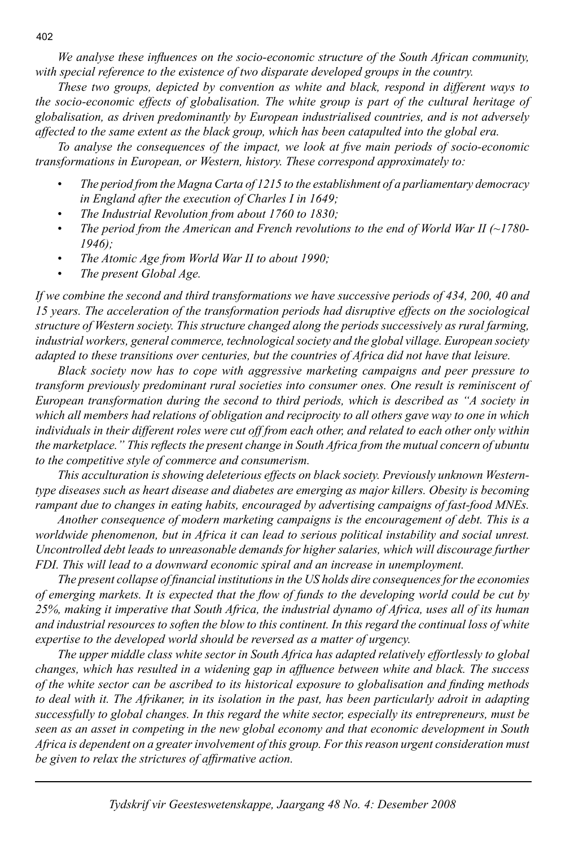*We analyse these influences on the socio-economic structure of the South African community, with special reference to the existence of two disparate developed groups in the country.*

 *These two groups, depicted by convention as white and black, respond in different ways to the socio-economic effects of globalisation. The white group is part of the cultural heritage of globalisation, as driven predominantly by European industrialised countries, and is not adversely affected to the same extent as the black group, which has been catapulted into the global era.*

To analyse the consequences of the impact, we look at five main periods of socio-economic *transformations in European, or Western, history. These correspond approximately to:* 

- *The period from the Magna Carta of 1215 to the establishment of a parliamentary democracy in England after the execution of Charles I in 1649;*
- *The Industrial Revolution from about 1760 to 1830;*
- *The period from the American and French revolutions to the end of World War II (~1780- 1946);*
- *The Atomic Age from World War II to about 1990;*
- *The present Global Age.*

*If we combine the second and third transformations we have successive periods of 434, 200, 40 and 15 years. The acceleration of the transformation periods had disruptive effects on the sociological structure of Western society. This structure changed along the periods successively as rural farming, industrial workers, general commerce, technological society and the global village. European society adapted to these transitions over centuries, but the countries of Africa did not have that leisure.*

 *Black society now has to cope with aggressive marketing campaigns and peer pressure to transform previously predominant rural societies into consumer ones. One result is reminiscent of European transformation during the second to third periods, which is described as "A society in which all members had relations of obligation and reciprocity to all others gave way to one in which individuals in their different roles were cut off from each other, and related to each other only within the marketplace." This reflects the present change in South Africa from the mutual concern of ubuntu to the competitive style of commerce and consumerism.* 

 *This acculturation is showing deleterious effects on black society. Previously unknown Westerntype diseases such as heart disease and diabetes are emerging as major killers. Obesity is becoming rampant due to changes in eating habits, encouraged by advertising campaigns of fast-food MNEs.*

 *Another consequence of modern marketing campaigns is the encouragement of debt. This is a worldwide phenomenon, but in Africa it can lead to serious political instability and social unrest. Uncontrolled debt leads to unreasonable demands for higher salaries, which will discourage further FDI. This will lead to a downward economic spiral and an increase in unemployment.* 

*The present collapse of financial institutions in the US holds dire consequences for the economies of emerging markets. It is expected that the flow of funds to the developing world could be cut by 25%, making it imperative that South Africa, the industrial dynamo of Africa, uses all of its human and industrial resources to soften the blow to this continent. In this regard the continual loss of white expertise to the developed world should be reversed as a matter of urgency.*

 *The upper middle class white sector in South Africa has adapted relatively effortlessly to global changes, which has resulted in a widening gap in affl uence between white and black. The success of the white sector can be ascribed to its historical exposure to globalisation and finding methods to deal with it. The Afrikaner, in its isolation in the past, has been particularly adroit in adapting successfully to global changes. In this regard the white sector, especially its entrepreneurs, must be seen as an asset in competing in the new global economy and that economic development in South Africa is dependent on a greater involvement of this group. For this reason urgent consideration must*  be given to relax the strictures of affirmative action.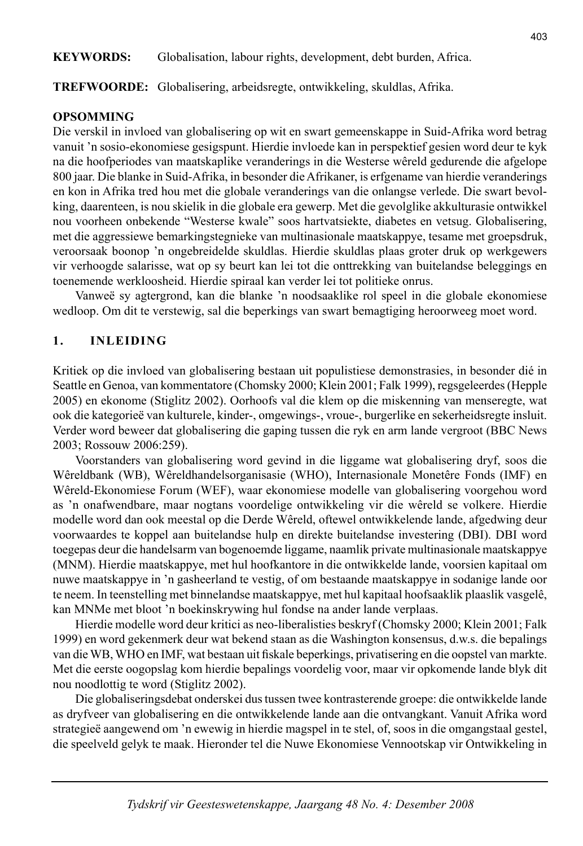## **KEYWORDS:** Globalisation, labour rights, development, debt burden, Africa.

## **TREFWOORDE:** Globalisering, arbeidsregte, ontwikkeling, skuldlas, Afrika.

### **OPSOMMING**

Die verskil in invloed van globalisering op wit en swart gemeenskappe in Suid-Afrika word betrag vanuit 'n sosio-ekonomiese gesigspunt. Hierdie invloede kan in perspektief gesien word deur te kyk na die hoofperiodes van maatskaplike veranderings in die Westerse wêreld gedurende die afgelope 800 jaar. Die blanke in Suid-Afrika, in besonder die Afrikaner, is erfgename van hierdie veranderings en kon in Afrika tred hou met die globale veranderings van die onlangse verlede. Die swart bevolking, daarenteen, is nou skielik in die globale era gewerp. Met die gevolglike akkulturasie ontwikkel nou voorheen onbekende "Westerse kwale" soos hartvatsiekte, diabetes en vetsug. Globalisering, met die aggressiewe bemarkingstegnieke van multinasionale maatskappye, tesame met groepsdruk, veroorsaak boonop 'n ongebreidelde skuldlas. Hierdie skuldlas plaas groter druk op werkgewers vir verhoogde salarisse, wat op sy beurt kan lei tot die onttrekking van buitelandse beleggings en toenemende werkloosheid. Hierdie spiraal kan verder lei tot politieke onrus.

 Vanweë sy agtergrond, kan die blanke 'n noodsaaklike rol speel in die globale ekonomiese wedloop. Om dit te verstewig, sal die beperkings van swart bemagtiging heroorweeg moet word.

## **1. INLEIDING**

Kritiek op die invloed van globalisering bestaan uit populistiese demonstrasies, in besonder dié in Seattle en Genoa, van kommentatore (Chomsky 2000; Klein 2001; Falk 1999), regsgeleerdes (Hepple 2005) en ekonome (Stiglitz 2002). Oorhoofs val die klem op die miskenning van menseregte, wat ook die kategorieë van kulturele, kinder-, omgewings-, vroue-, burgerlike en sekerheidsregte insluit. Verder word beweer dat globalisering die gaping tussen die ryk en arm lande vergroot (BBC News 2003; Rossouw 2006:259).

 Voorstanders van globalisering word gevind in die liggame wat globalisering dryf, soos die Wêreldbank (WB), Wêreldhandelsorganisasie (WHO), Internasionale Monetêre Fonds (IMF) en Wêreld-Ekonomiese Forum (WEF), waar ekonomiese modelle van globalisering voorgehou word as 'n onafwendbare, maar nogtans voordelige ontwikkeling vir die wêreld se volkere. Hierdie modelle word dan ook meestal op die Derde Wêreld, oftewel ontwikkelende lande, afgedwing deur voorwaardes te koppel aan buitelandse hulp en direkte buitelandse investering (DBI). DBI word toegepas deur die handelsarm van bogenoemde liggame, naamlik private multinasionale maatskappye (MNM). Hierdie maatskappye, met hul hoofkantore in die ontwikkelde lande, voorsien kapitaal om nuwe maatskappye in 'n gasheerland te vestig, of om bestaande maatskappye in sodanige lande oor te neem. In teenstelling met binnelandse maatskappye, met hul kapitaal hoofsaaklik plaaslik vasgelê, kan MNMe met bloot 'n boekinskrywing hul fondse na ander lande verplaas.

 Hierdie modelle word deur kritici as neo-liberalisties beskryf (Chomsky 2000; Klein 2001; Falk 1999) en word gekenmerk deur wat bekend staan as die Washington konsensus, d.w.s. die bepalings van die WB, WHO en IMF, wat bestaan uit fiskale beperkings, privatisering en die oopstel van markte. Met die eerste oogopslag kom hierdie bepalings voordelig voor, maar vir opkomende lande blyk dit nou noodlottig te word (Stiglitz 2002).

 Die globaliseringsdebat onderskei dus tussen twee kontrasterende groepe: die ontwikkelde lande as dryfveer van globalisering en die ontwikkelende lande aan die ontvangkant. Vanuit Afrika word strategieë aangewend om 'n ewewig in hierdie magspel in te stel, of, soos in die omgangstaal gestel, die speelveld gelyk te maak. Hieronder tel die Nuwe Ekonomiese Vennootskap vir Ontwikkeling in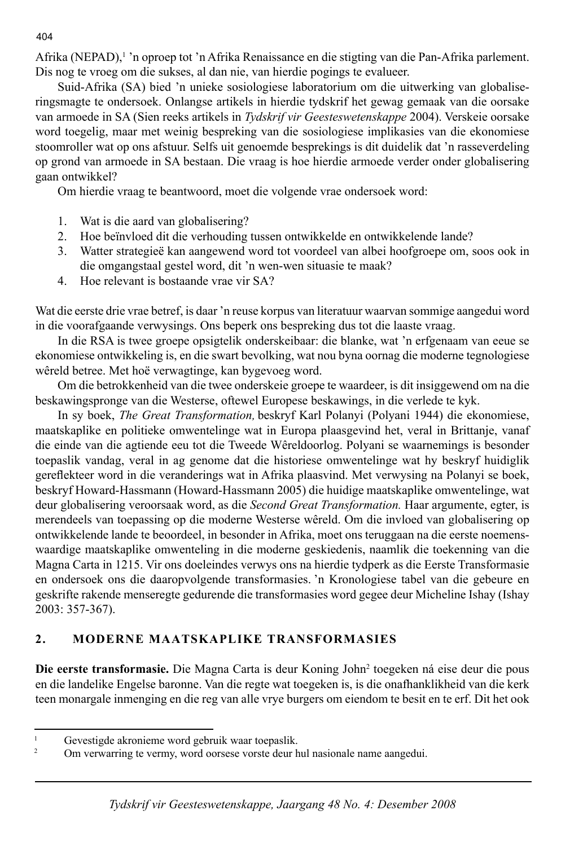Afrika (NEPAD),<sup>1</sup>'n oproep tot 'n Afrika Renaissance en die stigting van die Pan-Afrika parlement. Dis nog te vroeg om die sukses, al dan nie, van hierdie pogings te evalueer.

 Suid-Afrika (SA) bied 'n unieke sosiologiese laboratorium om die uitwerking van globaliseringsmagte te ondersoek. Onlangse artikels in hierdie tydskrif het gewag gemaak van die oorsake van armoede in SA (Sien reeks artikels in *Tydskrif vir Geesteswetenskappe* 2004). Verskeie oorsake word toegelig, maar met weinig bespreking van die sosiologiese implikasies van die ekonomiese stoomroller wat op ons afstuur. Selfs uit genoemde besprekings is dit duidelik dat 'n rasseverdeling op grond van armoede in SA bestaan. Die vraag is hoe hierdie armoede verder onder globalisering gaan ontwikkel?

Om hierdie vraag te beantwoord, moet die volgende vrae ondersoek word:

- 1. Wat is die aard van globalisering?
- 2. Hoe beïnvloed dit die verhouding tussen ontwikkelde en ontwikkelende lande?
- 3. Watter strategieë kan aangewend word tot voordeel van albei hoofgroepe om, soos ook in die omgangstaal gestel word, dit 'n wen-wen situasie te maak?
- 4. Hoe relevant is bostaande vrae vir SA?

Wat die eerste drie vrae betref, is daar 'n reuse korpus van literatuur waarvan sommige aangedui word in die voorafgaande verwysings. Ons beperk ons bespreking dus tot die laaste vraag.

 In die RSA is twee groepe opsigtelik onderskeibaar: die blanke, wat 'n erfgenaam van eeue se ekonomiese ontwikkeling is, en die swart bevolking, wat nou byna oornag die moderne tegnologiese wêreld betree. Met hoë verwagtinge, kan bygevoeg word.

 Om die betrokkenheid van die twee onderskeie groepe te waardeer, is dit insiggewend om na die beskawingspronge van die Westerse, oftewel Europese beskawings, in die verlede te kyk.

 In sy boek, *The Great Transformation,* beskryf Karl Polanyi (Polyani 1944) die ekonomiese, maatskaplike en politieke omwentelinge wat in Europa plaasgevind het, veral in Brittanje, vanaf die einde van die agtiende eeu tot die Tweede Wêreldoorlog. Polyani se waarnemings is besonder toepaslik vandag, veral in ag genome dat die historiese omwentelinge wat hy beskryf huidiglik gereflekteer word in die veranderings wat in Afrika plaasvind. Met verwysing na Polanyi se boek, beskryf Howard-Hassmann (Howard-Hassmann 2005) die huidige maatskaplike omwentelinge, wat deur globalisering veroorsaak word, as die *Second Great Transformation.* Haar argumente, egter, is merendeels van toepassing op die moderne Westerse wêreld. Om die invloed van globalisering op ontwikkelende lande te beoordeel, in besonder in Afrika, moet ons teruggaan na die eerste noemenswaardige maatskaplike omwenteling in die moderne geskiedenis, naamlik die toekenning van die Magna Carta in 1215. Vir ons doeleindes verwys ons na hierdie tydperk as die Eerste Transformasie en ondersoek ons die daaropvolgende transformasies. 'n Kronologiese tabel van die gebeure en geskrifte rakende menseregte gedurende die transformasies word gegee deur Micheline Ishay (Ishay 2003: 357-367).

# **2. MODERNE MAATSKAPLIKE TRANSFORMASIES**

Die eerste transformasie. Die Magna Carta is deur Koning John<sup>2</sup> toegeken ná eise deur die pous en die landelike Engelse baronne. Van die regte wat toegeken is, is die onafhanklikheid van die kerk teen monargale inmenging en die reg van alle vrye burgers om eiendom te besit en te erf. Dit het ook

#### 404

<sup>1</sup> Gevestigde akronieme word gebruik waar toepaslik.

<sup>2</sup> Om verwarring te vermy, word oorsese vorste deur hul nasionale name aangedui.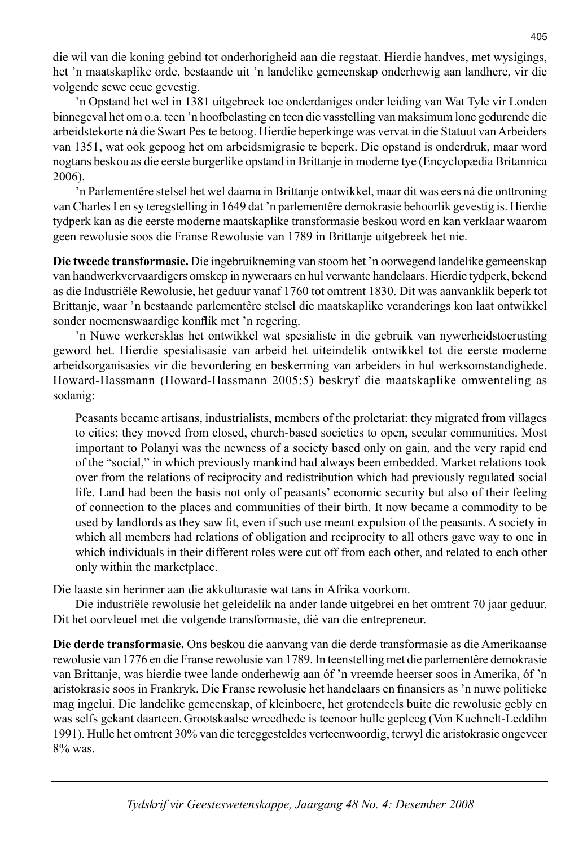die wil van die koning gebind tot onderhorigheid aan die regstaat. Hierdie handves, met wysigings, het 'n maatskaplike orde, bestaande uit 'n landelike gemeenskap onderhewig aan landhere, vir die volgende sewe eeue gevestig.

 'n Opstand het wel in 1381 uitgebreek toe onderdaniges onder leiding van Wat Tyle vir Londen binnegeval het om o.a. teen 'n hoofbelasting en teen die vasstelling van maksimum lone gedurende die arbeidstekorte ná die Swart Pes te betoog. Hierdie beperkinge was vervat in die Statuut van Arbeiders van 1351, wat ook gepoog het om arbeidsmigrasie te beperk. Die opstand is onderdruk, maar word nogtans beskou as die eerste burgerlike opstand in Brittanje in moderne tye (Encyclopædia Britannica 2006).

 'n Parlementêre stelsel het wel daarna in Brittanje ontwikkel, maar dit was eers ná die onttroning van Charles I en sy teregstelling in 1649 dat 'n parlementêre demokrasie behoorlik gevestig is. Hierdie tydperk kan as die eerste moderne maatskaplike transformasie beskou word en kan verklaar waarom geen rewolusie soos die Franse Rewolusie van 1789 in Brittanje uitgebreek het nie.

**Die tweede transformasie.** Die ingebruikneming van stoom het 'n oorwegend landelike gemeenskap van handwerkvervaardigers omskep in nyweraars en hul verwante handelaars. Hierdie tydperk, bekend as die Industriële Rewolusie, het geduur vanaf 1760 tot omtrent 1830. Dit was aanvanklik beperk tot Brittanje, waar 'n bestaande parlementêre stelsel die maatskaplike veranderings kon laat ontwikkel sonder noemenswaardige konflik met 'n regering.

 'n Nuwe werkersklas het ontwikkel wat spesialiste in die gebruik van nywerheidstoerusting geword het. Hierdie spesialisasie van arbeid het uiteindelik ontwikkel tot die eerste moderne arbeidsorganisasies vir die bevordering en beskerming van arbeiders in hul werksomstandighede. Howard-Hassmann (Howard-Hassmann 2005:5) beskryf die maatskaplike omwenteling as sodanig:

 Peasants became artisans, industrialists, members of the proletariat: they migrated from villages to cities; they moved from closed, church-based societies to open, secular communities. Most important to Polanyi was the newness of a society based only on gain, and the very rapid end of the "social," in which previously mankind had always been embedded. Market relations took over from the relations of reciprocity and redistribution which had previously regulated social life. Land had been the basis not only of peasants' economic security but also of their feeling of connection to the places and communities of their birth. It now became a commodity to be used by landlords as they saw fit, even if such use meant expulsion of the peasants. A society in which all members had relations of obligation and reciprocity to all others gave way to one in which individuals in their different roles were cut off from each other, and related to each other only within the marketplace.

Die laaste sin herinner aan die akkulturasie wat tans in Afrika voorkom.

 Die industriële rewolusie het geleidelik na ander lande uitgebrei en het omtrent 70 jaar geduur. Dit het oorvleuel met die volgende transformasie, dié van die entrepreneur.

**Die derde transformasie.** Ons beskou die aanvang van die derde transformasie as die Amerikaanse rewolusie van 1776 en die Franse rewolusie van 1789. In teenstelling met die parlementêre demokrasie van Brittanje, was hierdie twee lande onderhewig aan óf 'n vreemde heerser soos in Amerika, óf 'n aristokrasie soos in Frankryk. Die Franse rewolusie het handelaars en fi nansiers as 'n nuwe politieke mag ingelui. Die landelike gemeenskap, of kleinboere, het grotendeels buite die rewolusie gebly en was selfs gekant daarteen.Grootskaalse wreedhede is teenoor hulle gepleeg (Von Kuehnelt-Leddihn 1991). Hulle het omtrent 30% van die tereggesteldes verteenwoordig, terwyl die aristokrasie ongeveer 8% was.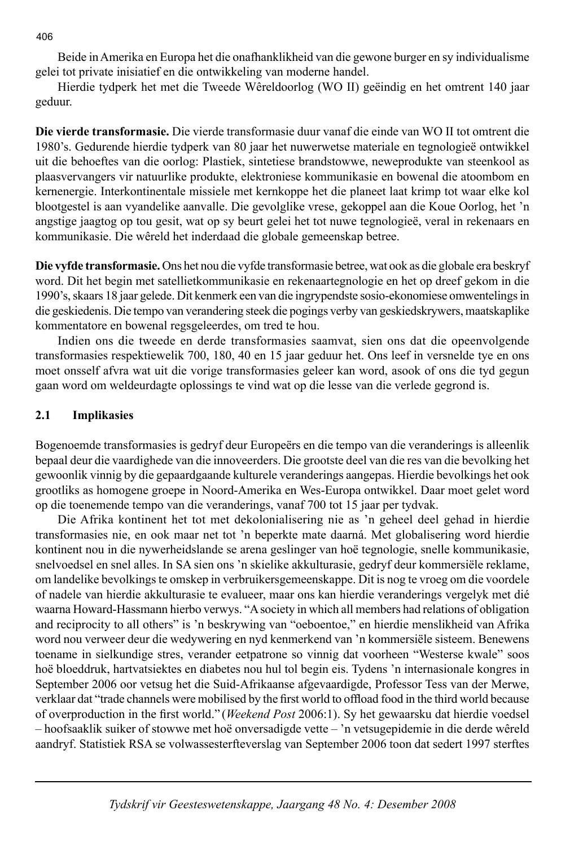Beide in Amerika en Europa het die onafhanklikheid van die gewone burger en sy individualisme gelei tot private inisiatief en die ontwikkeling van moderne handel.

 Hierdie tydperk het met die Tweede Wêreldoorlog (WO II) geëindig en het omtrent 140 jaar geduur.

**Die vierde transformasie.** Die vierde transformasie duur vanaf die einde van WO II tot omtrent die 1980's. Gedurende hierdie tydperk van 80 jaar het nuwerwetse materiale en tegnologieë ontwikkel uit die behoeftes van die oorlog: Plastiek, sintetiese brandstowwe, neweprodukte van steenkool as plaasvervangers vir natuurlike produkte, elektroniese kommunikasie en bowenal die atoombom en kernenergie. Interkontinentale missiele met kernkoppe het die planeet laat krimp tot waar elke kol blootgestel is aan vyandelike aanvalle. Die gevolglike vrese, gekoppel aan die Koue Oorlog, het 'n angstige jaagtog op tou gesit, wat op sy beurt gelei het tot nuwe tegnologieë, veral in rekenaars en kommunikasie. Die wêreld het inderdaad die globale gemeenskap betree.

**Die vyfde transformasie.** Ons het nou die vyfde transformasie betree, wat ook as die globale era beskryf word. Dit het begin met satellietkommunikasie en rekenaartegnologie en het op dreef gekom in die 1990's, skaars 18 jaar gelede. Dit kenmerk een van die ingrypendste sosio-ekonomiese omwentelings in die geskiedenis. Die tempo van verandering steek die pogings verby van geskiedskrywers, maatskaplike kommentatore en bowenal regsgeleerdes, om tred te hou.

 Indien ons die tweede en derde transformasies saamvat, sien ons dat die opeenvolgende transformasies respektiewelik 700, 180, 40 en 15 jaar geduur het. Ons leef in versnelde tye en ons moet onsself afvra wat uit die vorige transformasies geleer kan word, asook of ons die tyd gegun gaan word om weldeurdagte oplossings te vind wat op die lesse van die verlede gegrond is.

## **2.1 Implikasies**

Bogenoemde transformasies is gedryf deur Europeërs en die tempo van die veranderings is alleenlik bepaal deur die vaardighede van die innoveerders. Die grootste deel van die res van die bevolking het gewoonlik vinnig by die gepaardgaande kulturele veranderings aangepas. Hierdie bevolkings het ook grootliks as homogene groepe in Noord-Amerika en Wes-Europa ontwikkel. Daar moet gelet word op die toenemende tempo van die veranderings, vanaf 700 tot 15 jaar per tydvak.

 Die Afrika kontinent het tot met dekolonialisering nie as 'n geheel deel gehad in hierdie transformasies nie, en ook maar net tot 'n beperkte mate daarná. Met globalisering word hierdie kontinent nou in die nywerheidslande se arena geslinger van hoë tegnologie, snelle kommunikasie, snelvoedsel en snel alles. In SA sien ons 'n skielike akkulturasie, gedryf deur kommersiële reklame, om landelike bevolkings te omskep in verbruikersgemeenskappe. Dit is nog te vroeg om die voordele of nadele van hierdie akkulturasie te evalueer, maar ons kan hierdie veranderings vergelyk met dié waarna Howard-Hassmann hierbo verwys. "A society in which all members had relations of obligation and reciprocity to all others" is 'n beskrywing van "oeboentoe," en hierdie menslikheid van Afrika word nou verweer deur die wedywering en nyd kenmerkend van 'n kommersiële sisteem. Benewens toename in sielkundige stres, verander eetpatrone so vinnig dat voorheen "Westerse kwale" soos hoë bloeddruk, hartvatsiektes en diabetes nou hul tol begin eis. Tydens 'n internasionale kongres in September 2006 oor vetsug het die Suid-Afrikaanse afgevaardigde, Professor Tess van der Merwe, verklaar dat "trade channels were mobilised by the first world to offload food in the third world because of overproduction in the first world." (*Weekend Post* 2006:1). Sy het gewaarsku dat hierdie voedsel – hoofsaaklik suiker of stowwe met hoë onversadigde vette – 'n vetsugepidemie in die derde wêreld aandryf. Statistiek RSA se volwassesterfteverslag van September 2006 toon dat sedert 1997 sterftes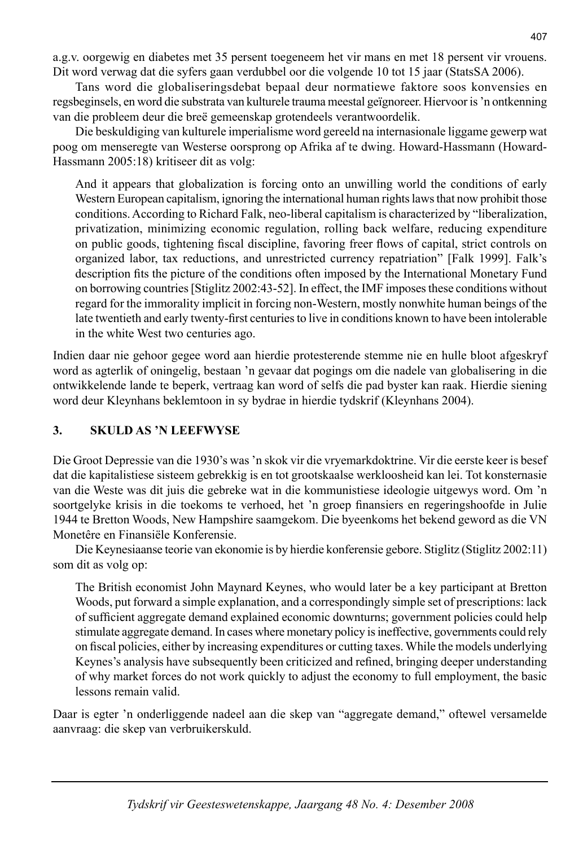a.g.v. oorgewig en diabetes met 35 persent toegeneem het vir mans en met 18 persent vir vrouens. Dit word verwag dat die syfers gaan verdubbel oor die volgende 10 tot 15 jaar (StatsSA 2006).

 Tans word die globaliseringsdebat bepaal deur normatiewe faktore soos konvensies en regsbeginsels, en word die substrata van kulturele trauma meestal geïgnoreer. Hiervoor is 'n ontkenning van die probleem deur die breë gemeenskap grotendeels verantwoordelik.

 Die beskuldiging van kulturele imperialisme word gereeld na internasionale liggame gewerp wat poog om menseregte van Westerse oorsprong op Afrika af te dwing. Howard-Hassmann (Howard-Hassmann 2005:18) kritiseer dit as volg:

 And it appears that globalization is forcing onto an unwilling world the conditions of early Western European capitalism, ignoring the international human rights laws that now prohibit those conditions. According to Richard Falk, neo-liberal capitalism is characterized by "liberalization, privatization, minimizing economic regulation, rolling back welfare, reducing expenditure on public goods, tightening fiscal discipline, favoring freer flows of capital, strict controls on organized labor, tax reductions, and unrestricted currency repatriation" [Falk 1999]. Falk's description fits the picture of the conditions often imposed by the International Monetary Fund on borrowing countries [Stiglitz 2002:43-52]. In effect, the IMF imposes these conditions without regard for the immorality implicit in forcing non-Western, mostly nonwhite human beings of the late twentieth and early twenty-first centuries to live in conditions known to have been intolerable in the white West two centuries ago.

Indien daar nie gehoor gegee word aan hierdie protesterende stemme nie en hulle bloot afgeskryf word as agterlik of oningelig, bestaan 'n gevaar dat pogings om die nadele van globalisering in die ontwikkelende lande te beperk, vertraag kan word of selfs die pad byster kan raak. Hierdie siening word deur Kleynhans beklemtoon in sy bydrae in hierdie tydskrif (Kleynhans 2004).

## **3. SKULD AS 'N LEEFWYSE**

Die Groot Depressie van die 1930's was 'n skok vir die vryemarkdoktrine. Vir die eerste keer is besef dat die kapitalistiese sisteem gebrekkig is en tot grootskaalse werkloosheid kan lei. Tot konsternasie van die Weste was dit juis die gebreke wat in die kommunistiese ideologie uitgewys word. Om 'n soortgelyke krisis in die toekoms te verhoed, het 'n groep finansiers en regeringshoofde in Julie 1944 te Bretton Woods, New Hampshire saamgekom. Die byeenkoms het bekend geword as die VN Monetêre en Finansiële Konferensie.

 Die Keynesiaanse teorie van ekonomie is by hierdie konferensie gebore. Stiglitz (Stiglitz 2002:11) som dit as volg op:

 The British economist John Maynard Keynes, who would later be a key participant at Bretton Woods, put forward a simple explanation, and a correspondingly simple set of prescriptions: lack of sufficient aggregate demand explained economic downturns; government policies could help stimulate aggregate demand. In cases where monetary policy is ineffective, governments could rely on fiscal policies, either by increasing expenditures or cutting taxes. While the models underlying Keynes's analysis have subsequently been criticized and refined, bringing deeper understanding of why market forces do not work quickly to adjust the economy to full employment, the basic lessons remain valid.

Daar is egter 'n onderliggende nadeel aan die skep van "aggregate demand," oftewel versamelde aanvraag: die skep van verbruikerskuld.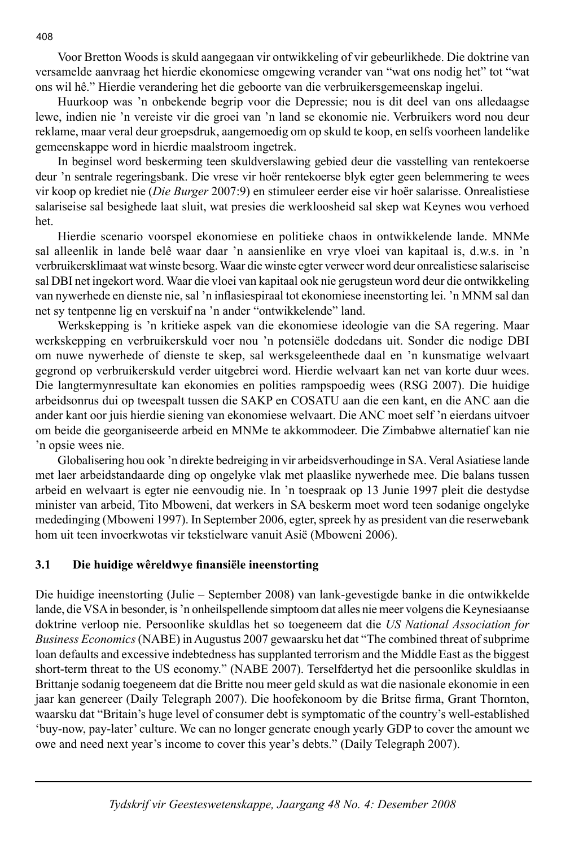Voor Bretton Woods is skuld aangegaan vir ontwikkeling of vir gebeurlikhede. Die doktrine van versamelde aanvraag het hierdie ekonomiese omgewing verander van "wat ons nodig het" tot "wat ons wil hê." Hierdie verandering het die geboorte van die verbruikersgemeenskap ingelui.

 Huurkoop was 'n onbekende begrip voor die Depressie; nou is dit deel van ons alledaagse lewe, indien nie 'n vereiste vir die groei van 'n land se ekonomie nie. Verbruikers word nou deur reklame, maar veral deur groepsdruk, aangemoedig om op skuld te koop, en selfs voorheen landelike gemeenskappe word in hierdie maalstroom ingetrek.

 In beginsel word beskerming teen skuldverslawing gebied deur die vasstelling van rentekoerse deur 'n sentrale regeringsbank. Die vrese vir hoër rentekoerse blyk egter geen belemmering te wees vir koop op krediet nie (*Die Burger* 2007:9) en stimuleer eerder eise vir hoër salarisse. Onrealistiese salariseise sal besighede laat sluit, wat presies die werkloosheid sal skep wat Keynes wou verhoed het.

 Hierdie scenario voorspel ekonomiese en politieke chaos in ontwikkelende lande. MNMe sal alleenlik in lande belê waar daar 'n aansienlike en vrye vloei van kapitaal is, d.w.s. in 'n verbruikersklimaat wat winste besorg. Waar die winste egter verweer word deur onrealistiese salariseise sal DBI net ingekort word. Waar die vloei van kapitaal ook nie gerugsteun word deur die ontwikkeling van nywerhede en dienste nie, sal 'n inflasiespiraal tot ekonomiese ineenstorting lei. 'n MNM sal dan net sy tentpenne lig en verskuif na 'n ander "ontwikkelende" land.

 Werkskepping is 'n kritieke aspek van die ekonomiese ideologie van die SA regering. Maar werkskepping en verbruikerskuld voer nou 'n potensiële dodedans uit. Sonder die nodige DBI om nuwe nywerhede of dienste te skep, sal werksgeleenthede daal en 'n kunsmatige welvaart gegrond op verbruikerskuld verder uitgebrei word. Hierdie welvaart kan net van korte duur wees. Die langtermynresultate kan ekonomies en polities rampspoedig wees (RSG 2007). Die huidige arbeidsonrus dui op tweespalt tussen die SAKP en COSATU aan die een kant, en die ANC aan die ander kant oor juis hierdie siening van ekonomiese welvaart. Die ANC moet self 'n eierdans uitvoer om beide die georganiseerde arbeid en MNMe te akkommodeer. Die Zimbabwe alternatief kan nie 'n opsie wees nie.

 Globalisering hou ook 'n direkte bedreiging in vir arbeidsverhoudinge in SA. Veral Asiatiese lande met laer arbeidstandaarde ding op ongelyke vlak met plaaslike nywerhede mee. Die balans tussen arbeid en welvaart is egter nie eenvoudig nie. In 'n toespraak op 13 Junie 1997 pleit die destydse minister van arbeid, Tito Mboweni, dat werkers in SA beskerm moet word teen sodanige ongelyke mededinging (Mboweni 1997). In September 2006, egter, spreek hy as president van die reserwebank hom uit teen invoerkwotas vir tekstielware vanuit Asië (Mboweni 2006).

## **3.1 Die huidige wêreldwye fi nansiële ineenstorting**

Die huidige ineenstorting (Julie – September 2008) van lank-gevestigde banke in die ontwikkelde lande, die VSA in besonder, is 'n onheilspellende simptoom dat alles nie meer volgens die Keynesiaanse doktrine verloop nie. Persoonlike skuldlas het so toegeneem dat die *US National Association for Business Economics* (NABE) in Augustus 2007 gewaarsku het dat "The combined threat of subprime loan defaults and excessive indebtedness has supplanted terrorism and the Middle East as the biggest short-term threat to the US economy." (NABE 2007). Terselfdertyd het die persoonlike skuldlas in Brittanje sodanig toegeneem dat die Britte nou meer geld skuld as wat die nasionale ekonomie in een jaar kan genereer (Daily Telegraph 2007). Die hoofekonoom by die Britse firma, Grant Thornton, waarsku dat "Britain's huge level of consumer debt is symptomatic of the country's well-established 'buy-now, pay-later' culture. We can no longer generate enough yearly GDP to cover the amount we owe and need next year's income to cover this year's debts." (Daily Telegraph 2007).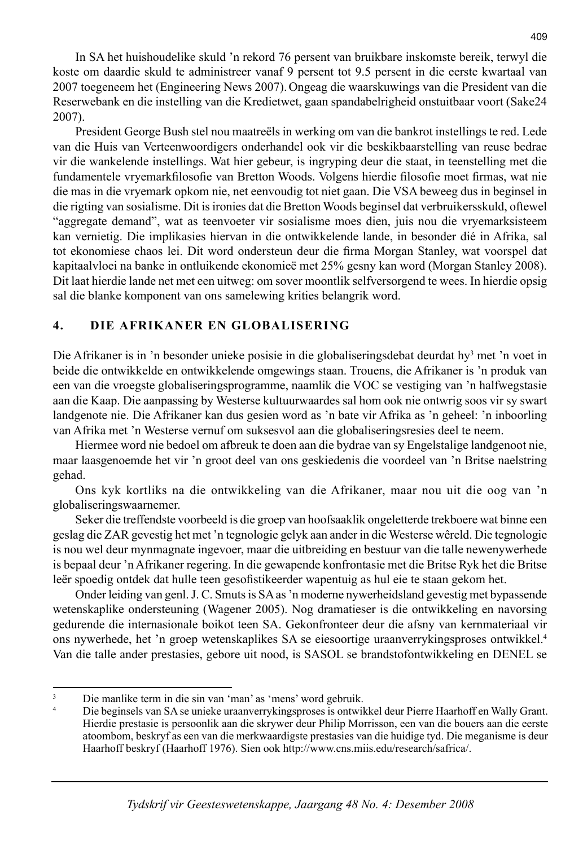In SA het huishoudelike skuld 'n rekord 76 persent van bruikbare inskomste bereik, terwyl die koste om daardie skuld te administreer vanaf 9 persent tot 9.5 persent in die eerste kwartaal van 2007 toegeneem het (Engineering News 2007).Ongeag die waarskuwings van die President van die Reserwebank en die instelling van die Kredietwet, gaan spandabelrigheid onstuitbaar voort (Sake24 2007).

 President George Bush stel nou maatreëls in werking om van die bankrot instellings te red. Lede van die Huis van Verteenwoordigers onderhandel ook vir die beskikbaarstelling van reuse bedrae vir die wankelende instellings. Wat hier gebeur, is ingryping deur die staat, in teenstelling met die fundamentele vryemarkfilosofie van Bretton Woods. Volgens hierdie filosofie moet firmas, wat nie die mas in die vryemark opkom nie, net eenvoudig tot niet gaan. Die VSA beweeg dus in beginsel in die rigting van sosialisme. Dit is ironies dat die Bretton Woods beginsel dat verbruikersskuld, oftewel "aggregate demand", wat as teenvoeter vir sosialisme moes dien, juis nou die vryemarksisteem kan vernietig. Die implikasies hiervan in die ontwikkelende lande, in besonder dié in Afrika, sal tot ekonomiese chaos lei. Dit word ondersteun deur die firma Morgan Stanley, wat voorspel dat kapitaalvloei na banke in ontluikende ekonomieë met 25% gesny kan word (Morgan Stanley 2008). Dit laat hierdie lande net met een uitweg: om sover moontlik selfversorgend te wees. In hierdie opsig sal die blanke komponent van ons samelewing krities belangrik word.

# **4. DIE AFRIKANER EN GLOBALISERING**

Die Afrikaner is in 'n besonder unieke posisie in die globaliseringsdebat deurdat hy<sup>3</sup> met 'n voet in beide die ontwikkelde en ontwikkelende omgewings staan. Trouens, die Afrikaner is 'n produk van een van die vroegste globaliseringsprogramme, naamlik die VOC se vestiging van 'n halfwegstasie aan die Kaap. Die aanpassing by Westerse kultuurwaardes sal hom ook nie ontwrig soos vir sy swart landgenote nie. Die Afrikaner kan dus gesien word as 'n bate vir Afrika as 'n geheel: 'n inboorling van Afrika met 'n Westerse vernuf om suksesvol aan die globaliseringsresies deel te neem.

 Hiermee word nie bedoel om afbreuk te doen aan die bydrae van sy Engelstalige landgenoot nie, maar laasgenoemde het vir 'n groot deel van ons geskiedenis die voordeel van 'n Britse naelstring gehad.

 Ons kyk kortliks na die ontwikkeling van die Afrikaner, maar nou uit die oog van 'n globaliseringswaarnemer.

 Seker die treffendste voorbeeld is die groep van hoofsaaklik ongeletterde trekboere wat binne een geslag die ZAR gevestig het met 'n tegnologie gelyk aan ander in die Westerse wêreld. Die tegnologie is nou wel deur mynmagnate ingevoer, maar die uitbreiding en bestuur van die talle newenywerhede is bepaal deur 'n Afrikaner regering. In die gewapende konfrontasie met die Britse Ryk het die Britse leër spoedig ontdek dat hulle teen gesofistikeerder wapentuig as hul eie te staan gekom het.

 Onder leiding van genl. J. C. Smuts is SA as 'n moderne nywerheidsland gevestig met bypassende wetenskaplike ondersteuning (Wagener 2005). Nog dramatieser is die ontwikkeling en navorsing gedurende die internasionale boikot teen SA. Gekonfronteer deur die afsny van kernmateriaal vir ons nywerhede, het 'n groep wetenskaplikes SA se eiesoortige uraanverrykingsproses ontwikkel.4 Van die talle ander prestasies, gebore uit nood, is SASOL se brandstofontwikkeling en DENEL se

<sup>3</sup> Die manlike term in die sin van 'man' as 'mens' word gebruik.

<sup>4</sup> Die beginsels van SA se unieke uraanverrykingsproses is ontwikkel deur Pierre Haarhoff en Wally Grant. Hierdie prestasie is persoonlik aan die skrywer deur Philip Morrisson, een van die bouers aan die eerste atoombom, beskryf as een van die merkwaardigste prestasies van die huidige tyd. Die meganisme is deur Haarhoff beskryf (Haarhoff 1976). Sien ook http://www.cns.miis.edu/research/safrica/.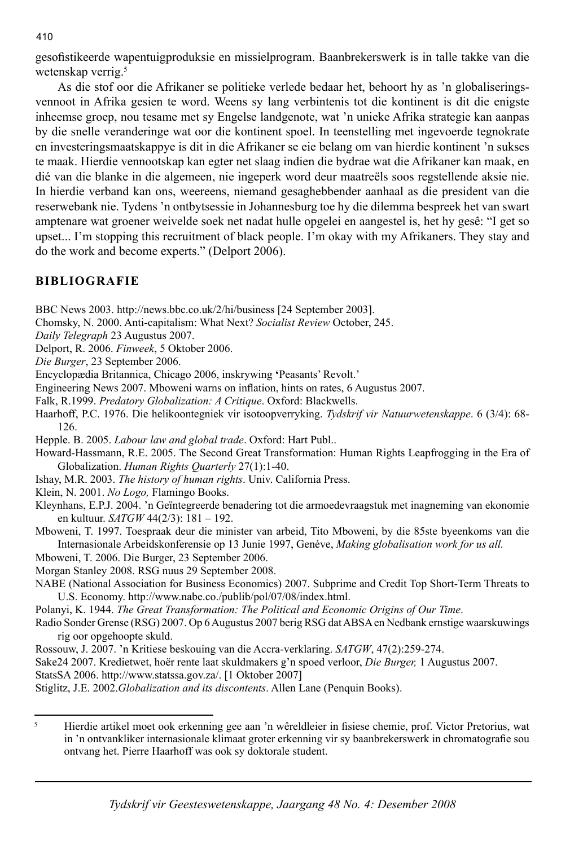gesofistikeerde wapentuigproduksie en missielprogram. Baanbrekerswerk is in talle takke van die wetenskap verrig.<sup>5</sup>

 As die stof oor die Afrikaner se politieke verlede bedaar het, behoort hy as 'n globaliseringsvennoot in Afrika gesien te word. Weens sy lang verbintenis tot die kontinent is dit die enigste inheemse groep, nou tesame met sy Engelse landgenote, wat 'n unieke Afrika strategie kan aanpas by die snelle veranderinge wat oor die kontinent spoel. In teenstelling met ingevoerde tegnokrate en investeringsmaatskappye is dit in die Afrikaner se eie belang om van hierdie kontinent 'n sukses te maak. Hierdie vennootskap kan egter net slaag indien die bydrae wat die Afrikaner kan maak, en dié van die blanke in die algemeen, nie ingeperk word deur maatreëls soos regstellende aksie nie. In hierdie verband kan ons, weereens, niemand gesaghebbender aanhaal as die president van die reserwebank nie. Tydens 'n ontbytsessie in Johannesburg toe hy die dilemma bespreek het van swart amptenare wat groener weivelde soek net nadat hulle opgelei en aangestel is, het hy gesê: "I get so upset... I'm stopping this recruitment of black people. I'm okay with my Afrikaners. They stay and do the work and become experts." (Delport 2006).

# **BIBLIOGRAFIE**

BBC News 2003. http://news.bbc.co.uk/2/hi/business [24 September 2003].

- Chomsky, N. 2000. Anti-capitalism: What Next? *Socialist Review* October, 245.
- *Daily Telegraph* 23 Augustus 2007.
- Delport, R. 2006. *Finweek*, 5 Oktober 2006.

*Die Burger*, 23 September 2006.

Encyclopædia Britannica, Chicago 2006, inskrywing **'**Peasants' Revolt.'

Engineering News 2007. Mboweni warns on inflation, hints on rates, 6 Augustus 2007.

Falk, R.1999. *Predatory Globalization: A Critique*. Oxford: Blackwells.

- Haarhoff, P.C. 1976. Die helikoontegniek vir isotoopverryking. *Tydskrif vir Natuurwetenskappe*. 6 (3/4): 68- 126.
- Hepple. B. 2005. *Labour law and global trade*. Oxford: Hart Publ..
- Howard-Hassmann, R.E. 2005. The Second Great Transformation: Human Rights Leapfrogging in the Era of Globalization. *Human Rights Quarterly* 27(1):1-40.
- Ishay, M.R. 2003. *The history of human rights*. Univ. California Press.

Klein, N. 2001. *No Logo,* Flamingo Books.

- Kleynhans, E.P.J. 2004. 'n Geïntegreerde benadering tot die armoedevraagstuk met inagneming van ekonomie en kultuur. *SATGW* 44(2/3): 181 – 192.
- Mboweni, T. 1997. Toespraak deur die minister van arbeid, Tito Mboweni, by die 85ste byeenkoms van die Internasionale Arbeidskonferensie op 13 Junie 1997, Genéve, *Making globalisation work for us all.*
- Mboweni, T. 2006. Die Burger, 23 September 2006.
- Morgan Stanley 2008. RSG nuus 29 September 2008.
- NABE (National Association for Business Economics) 2007. Subprime and Credit Top Short-Term Threats to U.S. Economy. http://www.nabe.co./publib/pol/07/08/index.html.
- Polanyi, K. 1944. *The Great Transformation: The Political and Economic Origins of Our Time*.
- Radio Sonder Grense (RSG) 2007. Op 6 Augustus 2007 berig RSG dat ABSA en Nedbank ernstige waarskuwings rig oor opgehoopte skuld.
- Rossouw, J. 2007. 'n Kritiese beskouing van die Accra-verklaring. *SATGW*, 47(2):259-274.
- Sake24 2007. Kredietwet, hoër rente laat skuldmakers g'n spoed verloor, *Die Burger,* 1 Augustus 2007.

StatsSA 2006. http://www.statssa.gov.za/. [1 Oktober 2007]

Stiglitz, J.E. 2002.*Globalization and its discontents*. Allen Lane (Penquin Books).

<sup>5</sup> Hierdie artikel moet ook erkenning gee aan 'n wêreldleier in fisiese chemie, prof. Victor Pretorius, wat in 'n ontvankliker internasionale klimaat groter erkenning vir sy baanbrekerswerk in chromatografie sou ontvang het. Pierre Haarhoff was ook sy doktorale student.